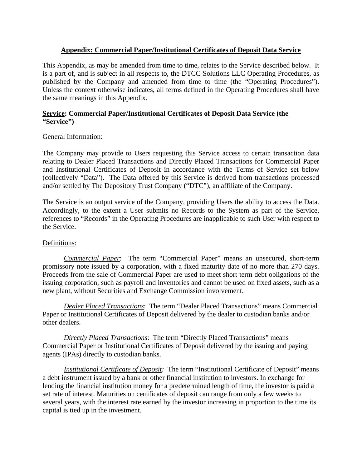# **Appendix: Commercial Paper/Institutional Certificates of Deposit Data Service**

This Appendix, as may be amended from time to time, relates to the Service described below. It is a part of, and is subject in all respects to, the DTCC Solutions LLC Operating Procedures, as published by the Company and amended from time to time (the "Operating Procedures"). Unless the context otherwise indicates, all terms defined in the Operating Procedures shall have the same meanings in this Appendix.

### **Service: Commercial Paper/Institutional Certificates of Deposit Data Service (the "Service")**

# General Information:

The Company may provide to Users requesting this Service access to certain transaction data relating to Dealer Placed Transactions and Directly Placed Transactions for Commercial Paper and Institutional Certificates of Deposit in accordance with the Terms of Service set below (collectively "Data"). The Data offered by this Service is derived from transactions processed and/or settled by The Depository Trust Company ("DTC"), an affiliate of the Company.

The Service is an output service of the Company, providing Users the ability to access the Data. Accordingly, to the extent a User submits no Records to the System as part of the Service, references to "Records" in the Operating Procedures are inapplicable to such User with respect to the Service.

# Definitions:

 *Commercial Paper*: The term "Commercial Paper" means an unsecured, short-term promissory note issued by a corporation, with a fixed maturity date of no more than 270 days. Proceeds from the sale of Commercial Paper are used to meet short term debt obligations of the issuing corporation, such as payroll and inventories and cannot be used on fixed assets, such as a new plant, without Securities and Exchange Commission involvement.

*Dealer Placed Transactions*: The term "Dealer Placed Transactions" means Commercial Paper or Institutional Certificates of Deposit delivered by the dealer to custodian banks and/or other dealers.

*Directly Placed Transactions*: The term "Directly Placed Transactions" means Commercial Paper or Institutional Certificates of Deposit delivered by the issuing and paying agents (IPAs) directly to custodian banks.

*Institutional Certificate of Deposit:* The term "Institutional Certificate of Deposit" means a debt instrument issued by a bank or other financial institution to investors. In exchange for lending the financial institution money for a predetermined length of time, the investor is paid a set rate of interest. Maturities on certificates of deposit can range from only a few weeks to several years, with the interest rate earned by the investor increasing in proportion to the time its capital is tied up in the investment.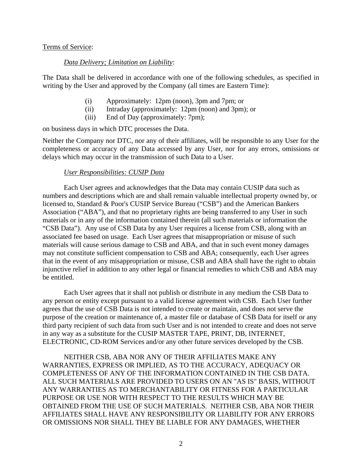#### Terms of Service:

### *Data Delivery; Limitation on Liability*:

The Data shall be delivered in accordance with one of the following schedules, as specified in writing by the User and approved by the Company (all times are Eastern Time):

- (i) Approximately: 12pm (noon), 3pm and 7pm; or
- (ii) Intraday (approximately: 12pm (noon) and 3pm); or
- (iii) End of Day (approximately: 7pm);

on business days in which DTC processes the Data.

Neither the Company nor DTC, nor any of their affiliates, will be responsible to any User for the completeness or accuracy of any Data accessed by any User, nor for any errors, omissions or delays which may occur in the transmission of such Data to a User.

### *User Responsibilities: CUSIP Data*

Each User agrees and acknowledges that the Data may contain CUSIP data such as numbers and descriptions which are and shall remain valuable intellectual property owned by, or licensed to, Standard & Poor's CUSIP Service Bureau ("CSB") and the American Bankers Association ("ABA"), and that no proprietary rights are being transferred to any User in such materials or in any of the information contained therein (all such materials or information the "CSB Data"). Any use of CSB Data by any User requires a license from CSB, along with an associated fee based on usage. Each User agrees that misappropriation or misuse of such materials will cause serious damage to CSB and ABA, and that in such event money damages may not constitute sufficient compensation to CSB and ABA; consequently, each User agrees that in the event of any misappropriation or misuse, CSB and ABA shall have the right to obtain injunctive relief in addition to any other legal or financial remedies to which CSB and ABA may be entitled.

Each User agrees that it shall not publish or distribute in any medium the CSB Data to any person or entity except pursuant to a valid license agreement with CSB. Each User further agrees that the use of CSB Data is not intended to create or maintain, and does not serve the purpose of the creation or maintenance of, a master file or database of CSB Data for itself or any third party recipient of such data from such User and is not intended to create and does not serve in any way as a substitute for the CUSIP MASTER TAPE, PRINT, DB, INTERNET, ELECTRONIC, CD-ROM Services and/or any other future services developed by the CSB.

NEITHER CSB, ABA NOR ANY OF THEIR AFFILIATES MAKE ANY WARRANTIES, EXPRESS OR IMPLIED, AS TO THE ACCURACY, ADEQUACY OR COMPLETENESS OF ANY OF THE INFORMATION CONTAINED IN THE CSB DATA. ALL SUCH MATERIALS ARE PROVIDED TO USERS ON AN "AS IS" BASIS, WITHOUT ANY WARRANTIES AS TO MERCHANTABILITY OR FITNESS FOR A PARTICULAR PURPOSE OR USE NOR WITH RESPECT TO THE RESULTS WHICH MAY BE OBTAINED FROM THE USE OF SUCH MATERIALS. NEITHER CSB, ABA NOR THEIR AFFILIATES SHALL HAVE ANY RESPONSIBILITY OR LIABILITY FOR ANY ERRORS OR OMISSIONS NOR SHALL THEY BE LIABLE FOR ANY DAMAGES, WHETHER